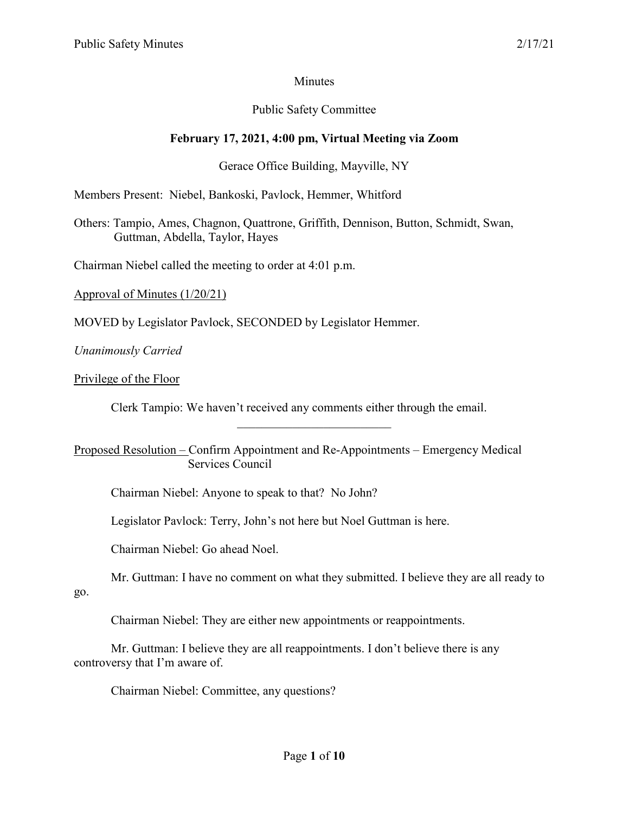# **Minutes**

# Public Safety Committee

# **February 17, 2021, 4:00 pm, Virtual Meeting via Zoom**

# Gerace Office Building, Mayville, NY

Members Present: Niebel, Bankoski, Pavlock, Hemmer, Whitford

Others: Tampio, Ames, Chagnon, Quattrone, Griffith, Dennison, Button, Schmidt, Swan, Guttman, Abdella, Taylor, Hayes

Chairman Niebel called the meeting to order at 4:01 p.m.

Approval of Minutes (1/20/21)

MOVED by Legislator Pavlock, SECONDED by Legislator Hemmer.

*Unanimously Carried*

Privilege of the Floor

Clerk Tampio: We haven't received any comments either through the email.

\_\_\_\_\_\_\_\_\_\_\_\_\_\_\_\_\_\_\_\_\_\_\_\_\_

Proposed Resolution – Confirm Appointment and Re-Appointments – Emergency Medical Services Council

Chairman Niebel: Anyone to speak to that? No John?

Legislator Pavlock: Terry, John's not here but Noel Guttman is here.

Chairman Niebel: Go ahead Noel.

Mr. Guttman: I have no comment on what they submitted. I believe they are all ready to go.

Chairman Niebel: They are either new appointments or reappointments.

Mr. Guttman: I believe they are all reappointments. I don't believe there is any controversy that I'm aware of.

Chairman Niebel: Committee, any questions?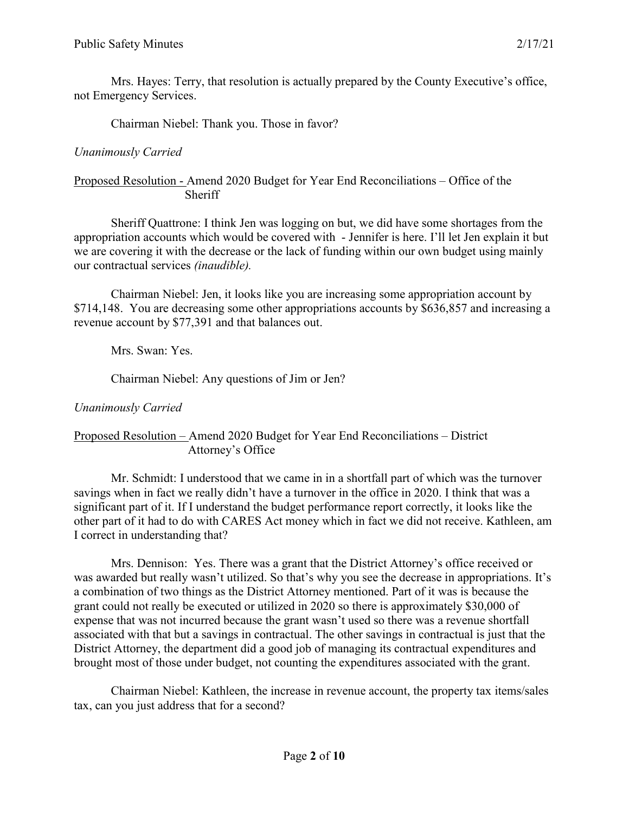Mrs. Hayes: Terry, that resolution is actually prepared by the County Executive's office, not Emergency Services.

Chairman Niebel: Thank you. Those in favor?

# *Unanimously Carried*

## Proposed Resolution - Amend 2020 Budget for Year End Reconciliations – Office of the **Sheriff**

Sheriff Quattrone: I think Jen was logging on but, we did have some shortages from the appropriation accounts which would be covered with - Jennifer is here. I'll let Jen explain it but we are covering it with the decrease or the lack of funding within our own budget using mainly our contractual services *(inaudible).*

Chairman Niebel: Jen, it looks like you are increasing some appropriation account by \$714,148. You are decreasing some other appropriations accounts by \$636,857 and increasing a revenue account by \$77,391 and that balances out.

Mrs. Swan: Yes.

Chairman Niebel: Any questions of Jim or Jen?

*Unanimously Carried*

## Proposed Resolution – Amend 2020 Budget for Year End Reconciliations – District Attorney's Office

Mr. Schmidt: I understood that we came in in a shortfall part of which was the turnover savings when in fact we really didn't have a turnover in the office in 2020. I think that was a significant part of it. If I understand the budget performance report correctly, it looks like the other part of it had to do with CARES Act money which in fact we did not receive. Kathleen, am I correct in understanding that?

Mrs. Dennison: Yes. There was a grant that the District Attorney's office received or was awarded but really wasn't utilized. So that's why you see the decrease in appropriations. It's a combination of two things as the District Attorney mentioned. Part of it was is because the grant could not really be executed or utilized in 2020 so there is approximately \$30,000 of expense that was not incurred because the grant wasn't used so there was a revenue shortfall associated with that but a savings in contractual. The other savings in contractual is just that the District Attorney, the department did a good job of managing its contractual expenditures and brought most of those under budget, not counting the expenditures associated with the grant.

Chairman Niebel: Kathleen, the increase in revenue account, the property tax items/sales tax, can you just address that for a second?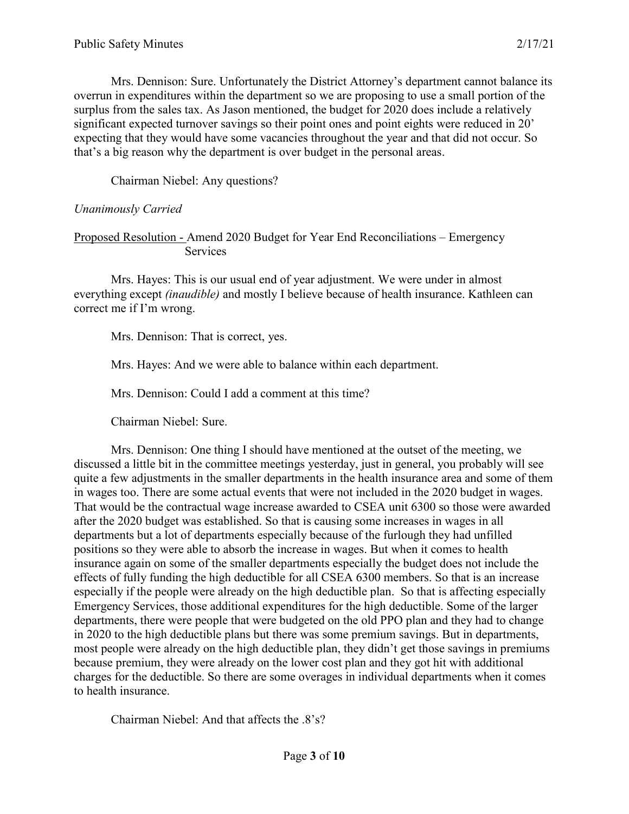Mrs. Dennison: Sure. Unfortunately the District Attorney's department cannot balance its overrun in expenditures within the department so we are proposing to use a small portion of the surplus from the sales tax. As Jason mentioned, the budget for 2020 does include a relatively significant expected turnover savings so their point ones and point eights were reduced in 20' expecting that they would have some vacancies throughout the year and that did not occur. So that's a big reason why the department is over budget in the personal areas.

Chairman Niebel: Any questions?

## *Unanimously Carried*

### Proposed Resolution - Amend 2020 Budget for Year End Reconciliations – Emergency **Services**

Mrs. Hayes: This is our usual end of year adjustment. We were under in almost everything except *(inaudible)* and mostly I believe because of health insurance. Kathleen can correct me if I'm wrong.

Mrs. Dennison: That is correct, yes.

Mrs. Hayes: And we were able to balance within each department.

Mrs. Dennison: Could I add a comment at this time?

Chairman Niebel: Sure.

Mrs. Dennison: One thing I should have mentioned at the outset of the meeting, we discussed a little bit in the committee meetings yesterday, just in general, you probably will see quite a few adjustments in the smaller departments in the health insurance area and some of them in wages too. There are some actual events that were not included in the 2020 budget in wages. That would be the contractual wage increase awarded to CSEA unit 6300 so those were awarded after the 2020 budget was established. So that is causing some increases in wages in all departments but a lot of departments especially because of the furlough they had unfilled positions so they were able to absorb the increase in wages. But when it comes to health insurance again on some of the smaller departments especially the budget does not include the effects of fully funding the high deductible for all CSEA 6300 members. So that is an increase especially if the people were already on the high deductible plan. So that is affecting especially Emergency Services, those additional expenditures for the high deductible. Some of the larger departments, there were people that were budgeted on the old PPO plan and they had to change in 2020 to the high deductible plans but there was some premium savings. But in departments, most people were already on the high deductible plan, they didn't get those savings in premiums because premium, they were already on the lower cost plan and they got hit with additional charges for the deductible. So there are some overages in individual departments when it comes to health insurance.

Chairman Niebel: And that affects the .8's?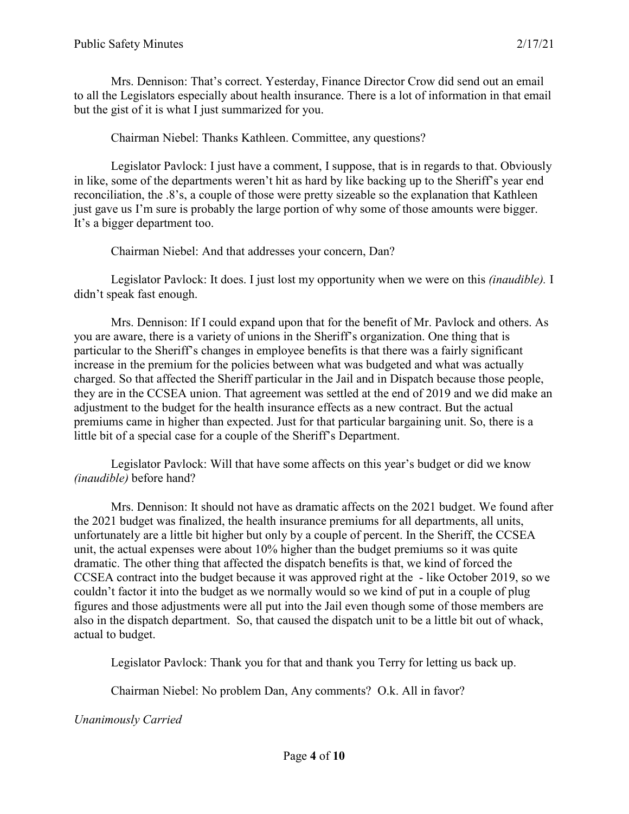Mrs. Dennison: That's correct. Yesterday, Finance Director Crow did send out an email to all the Legislators especially about health insurance. There is a lot of information in that email but the gist of it is what I just summarized for you.

Chairman Niebel: Thanks Kathleen. Committee, any questions?

Legislator Pavlock: I just have a comment, I suppose, that is in regards to that. Obviously in like, some of the departments weren't hit as hard by like backing up to the Sheriff's year end reconciliation, the .8's, a couple of those were pretty sizeable so the explanation that Kathleen just gave us I'm sure is probably the large portion of why some of those amounts were bigger. It's a bigger department too.

Chairman Niebel: And that addresses your concern, Dan?

Legislator Pavlock: It does. I just lost my opportunity when we were on this *(inaudible).* I didn't speak fast enough.

Mrs. Dennison: If I could expand upon that for the benefit of Mr. Pavlock and others. As you are aware, there is a variety of unions in the Sheriff's organization. One thing that is particular to the Sheriff's changes in employee benefits is that there was a fairly significant increase in the premium for the policies between what was budgeted and what was actually charged. So that affected the Sheriff particular in the Jail and in Dispatch because those people, they are in the CCSEA union. That agreement was settled at the end of 2019 and we did make an adjustment to the budget for the health insurance effects as a new contract. But the actual premiums came in higher than expected. Just for that particular bargaining unit. So, there is a little bit of a special case for a couple of the Sheriff's Department.

Legislator Pavlock: Will that have some affects on this year's budget or did we know *(inaudible)* before hand?

Mrs. Dennison: It should not have as dramatic affects on the 2021 budget. We found after the 2021 budget was finalized, the health insurance premiums for all departments, all units, unfortunately are a little bit higher but only by a couple of percent. In the Sheriff, the CCSEA unit, the actual expenses were about 10% higher than the budget premiums so it was quite dramatic. The other thing that affected the dispatch benefits is that, we kind of forced the CCSEA contract into the budget because it was approved right at the - like October 2019, so we couldn't factor it into the budget as we normally would so we kind of put in a couple of plug figures and those adjustments were all put into the Jail even though some of those members are also in the dispatch department. So, that caused the dispatch unit to be a little bit out of whack, actual to budget.

Legislator Pavlock: Thank you for that and thank you Terry for letting us back up.

Chairman Niebel: No problem Dan, Any comments? O.k. All in favor?

*Unanimously Carried*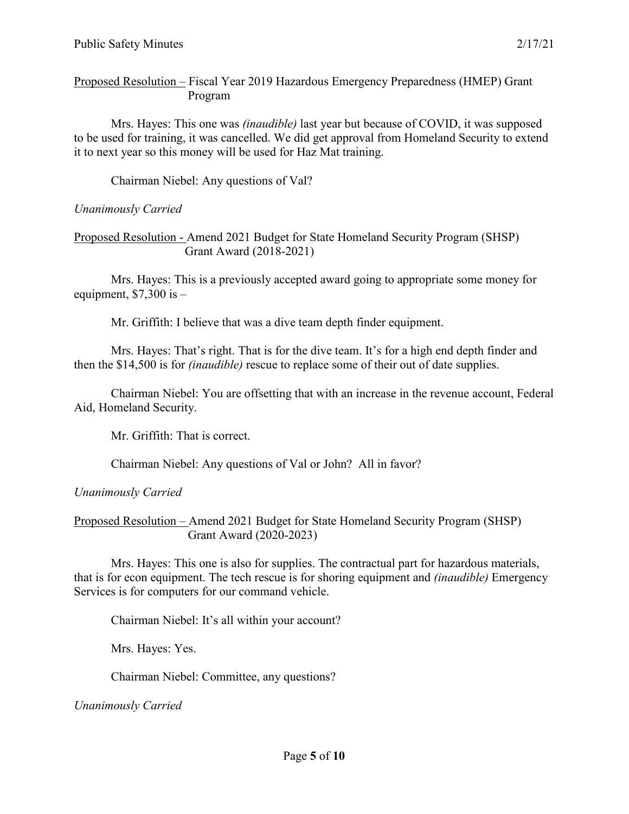Proposed Resolution – Fiscal Year 2019 Hazardous Emergency Preparedness (HMEP) Grant Program

Mrs. Hayes: This one was *(inaudible)* last year but because of COVID, it was supposed to be used for training, it was cancelled. We did get approval from Homeland Security to extend it to next year so this money will be used for Haz Mat training.

Chairman Niebel: Any questions of Val?

## *Unanimously Carried*

Proposed Resolution - Amend 2021 Budget for State Homeland Security Program (SHSP) Grant Award (2018-2021)

Mrs. Hayes: This is a previously accepted award going to appropriate some money for equipment,  $$7,300$  is -

Mr. Griffith: I believe that was a dive team depth finder equipment.

Mrs. Hayes: That's right. That is for the dive team. It's for a high end depth finder and then the \$14,500 is for *(inaudible)* rescue to replace some of their out of date supplies.

Chairman Niebel: You are offsetting that with an increase in the revenue account, Federal Aid, Homeland Security.

Mr. Griffith: That is correct.

Chairman Niebel: Any questions of Val or John? All in favor?

*Unanimously Carried*

Proposed Resolution – Amend 2021 Budget for State Homeland Security Program (SHSP) Grant Award (2020-2023)

Mrs. Hayes: This one is also for supplies. The contractual part for hazardous materials, that is for econ equipment. The tech rescue is for shoring equipment and *(inaudible)* Emergency Services is for computers for our command vehicle.

Chairman Niebel: It's all within your account?

Mrs. Hayes: Yes.

Chairman Niebel: Committee, any questions?

*Unanimously Carried*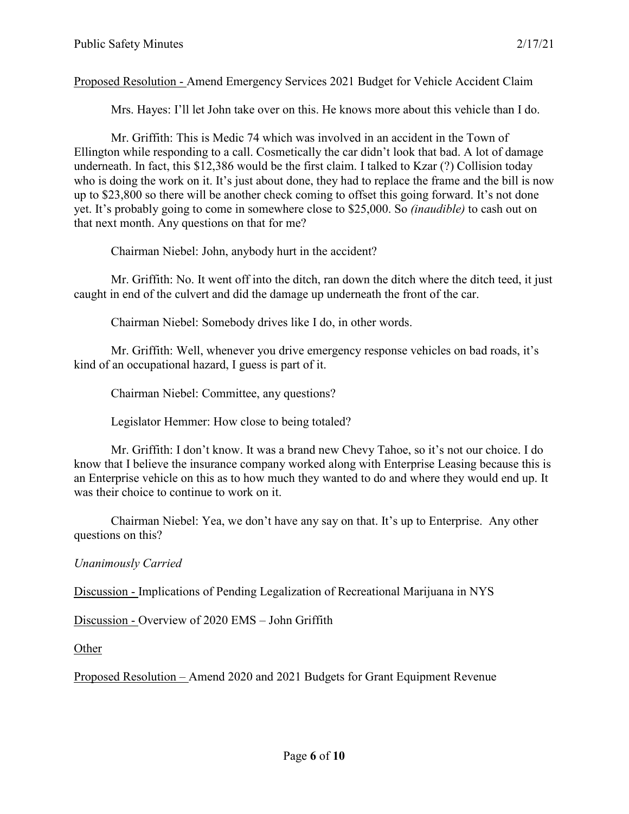Proposed Resolution - Amend Emergency Services 2021 Budget for Vehicle Accident Claim

Mrs. Hayes: I'll let John take over on this. He knows more about this vehicle than I do.

Mr. Griffith: This is Medic 74 which was involved in an accident in the Town of Ellington while responding to a call. Cosmetically the car didn't look that bad. A lot of damage underneath. In fact, this \$12,386 would be the first claim. I talked to Kzar (?) Collision today who is doing the work on it. It's just about done, they had to replace the frame and the bill is now up to \$23,800 so there will be another check coming to offset this going forward. It's not done yet. It's probably going to come in somewhere close to \$25,000. So *(inaudible)* to cash out on that next month. Any questions on that for me?

Chairman Niebel: John, anybody hurt in the accident?

Mr. Griffith: No. It went off into the ditch, ran down the ditch where the ditch teed, it just caught in end of the culvert and did the damage up underneath the front of the car.

Chairman Niebel: Somebody drives like I do, in other words.

Mr. Griffith: Well, whenever you drive emergency response vehicles on bad roads, it's kind of an occupational hazard, I guess is part of it.

Chairman Niebel: Committee, any questions?

Legislator Hemmer: How close to being totaled?

Mr. Griffith: I don't know. It was a brand new Chevy Tahoe, so it's not our choice. I do know that I believe the insurance company worked along with Enterprise Leasing because this is an Enterprise vehicle on this as to how much they wanted to do and where they would end up. It was their choice to continue to work on it.

Chairman Niebel: Yea, we don't have any say on that. It's up to Enterprise. Any other questions on this?

#### *Unanimously Carried*

Discussion - Implications of Pending Legalization of Recreational Marijuana in NYS

Discussion - Overview of 2020 EMS – John Griffith

Other

Proposed Resolution – Amend 2020 and 2021 Budgets for Grant Equipment Revenue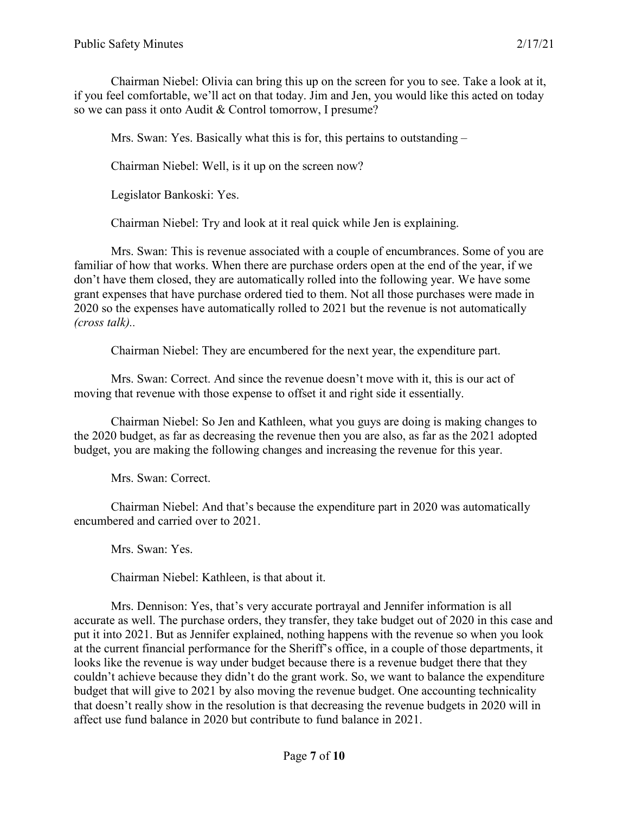Chairman Niebel: Olivia can bring this up on the screen for you to see. Take a look at it, if you feel comfortable, we'll act on that today. Jim and Jen, you would like this acted on today so we can pass it onto Audit & Control tomorrow, I presume?

Mrs. Swan: Yes. Basically what this is for, this pertains to outstanding –

Chairman Niebel: Well, is it up on the screen now?

Legislator Bankoski: Yes.

Chairman Niebel: Try and look at it real quick while Jen is explaining.

Mrs. Swan: This is revenue associated with a couple of encumbrances. Some of you are familiar of how that works. When there are purchase orders open at the end of the year, if we don't have them closed, they are automatically rolled into the following year. We have some grant expenses that have purchase ordered tied to them. Not all those purchases were made in 2020 so the expenses have automatically rolled to 2021 but the revenue is not automatically *(cross talk)..*

Chairman Niebel: They are encumbered for the next year, the expenditure part.

Mrs. Swan: Correct. And since the revenue doesn't move with it, this is our act of moving that revenue with those expense to offset it and right side it essentially.

Chairman Niebel: So Jen and Kathleen, what you guys are doing is making changes to the 2020 budget, as far as decreasing the revenue then you are also, as far as the 2021 adopted budget, you are making the following changes and increasing the revenue for this year.

Mrs. Swan: Correct.

Chairman Niebel: And that's because the expenditure part in 2020 was automatically encumbered and carried over to 2021.

Mrs. Swan: Yes.

Chairman Niebel: Kathleen, is that about it.

Mrs. Dennison: Yes, that's very accurate portrayal and Jennifer information is all accurate as well. The purchase orders, they transfer, they take budget out of 2020 in this case and put it into 2021. But as Jennifer explained, nothing happens with the revenue so when you look at the current financial performance for the Sheriff's office, in a couple of those departments, it looks like the revenue is way under budget because there is a revenue budget there that they couldn't achieve because they didn't do the grant work. So, we want to balance the expenditure budget that will give to 2021 by also moving the revenue budget. One accounting technicality that doesn't really show in the resolution is that decreasing the revenue budgets in 2020 will in affect use fund balance in 2020 but contribute to fund balance in 2021.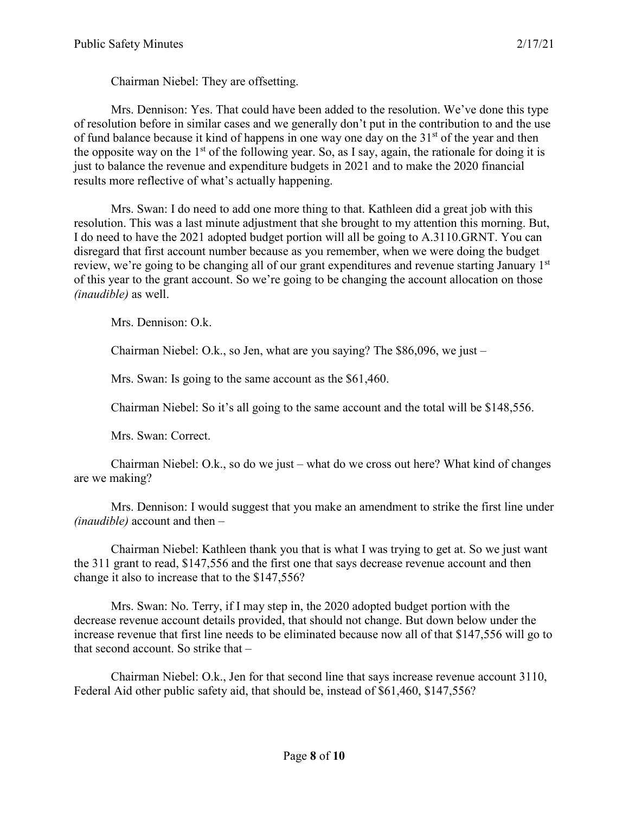Chairman Niebel: They are offsetting.

Mrs. Dennison: Yes. That could have been added to the resolution. We've done this type of resolution before in similar cases and we generally don't put in the contribution to and the use of fund balance because it kind of happens in one way one day on the  $31<sup>st</sup>$  of the year and then the opposite way on the  $1<sup>st</sup>$  of the following year. So, as I say, again, the rationale for doing it is just to balance the revenue and expenditure budgets in 2021 and to make the 2020 financial results more reflective of what's actually happening.

Mrs. Swan: I do need to add one more thing to that. Kathleen did a great job with this resolution. This was a last minute adjustment that she brought to my attention this morning. But, I do need to have the 2021 adopted budget portion will all be going to A.3110.GRNT. You can disregard that first account number because as you remember, when we were doing the budget review, we're going to be changing all of our grant expenditures and revenue starting January 1<sup>st</sup> of this year to the grant account. So we're going to be changing the account allocation on those *(inaudible)* as well.

Mrs. Dennison: O.k.

Chairman Niebel: O.k., so Jen, what are you saying? The \$86,096, we just –

Mrs. Swan: Is going to the same account as the \$61,460.

Chairman Niebel: So it's all going to the same account and the total will be \$148,556.

Mrs. Swan: Correct.

Chairman Niebel: O.k., so do we just – what do we cross out here? What kind of changes are we making?

Mrs. Dennison: I would suggest that you make an amendment to strike the first line under *(inaudible)* account and then –

Chairman Niebel: Kathleen thank you that is what I was trying to get at. So we just want the 311 grant to read, \$147,556 and the first one that says decrease revenue account and then change it also to increase that to the \$147,556?

Mrs. Swan: No. Terry, if I may step in, the 2020 adopted budget portion with the decrease revenue account details provided, that should not change. But down below under the increase revenue that first line needs to be eliminated because now all of that \$147,556 will go to that second account. So strike that –

Chairman Niebel: O.k., Jen for that second line that says increase revenue account 3110, Federal Aid other public safety aid, that should be, instead of \$61,460, \$147,556?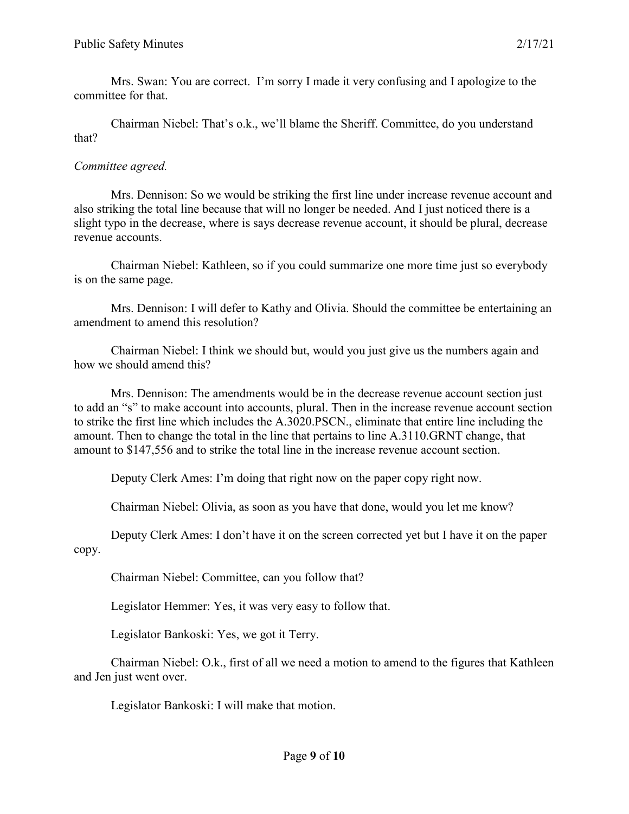Mrs. Swan: You are correct. I'm sorry I made it very confusing and I apologize to the committee for that.

Chairman Niebel: That's o.k., we'll blame the Sheriff. Committee, do you understand that?

#### *Committee agreed.*

Mrs. Dennison: So we would be striking the first line under increase revenue account and also striking the total line because that will no longer be needed. And I just noticed there is a slight typo in the decrease, where is says decrease revenue account, it should be plural, decrease revenue accounts.

Chairman Niebel: Kathleen, so if you could summarize one more time just so everybody is on the same page.

Mrs. Dennison: I will defer to Kathy and Olivia. Should the committee be entertaining an amendment to amend this resolution?

Chairman Niebel: I think we should but, would you just give us the numbers again and how we should amend this?

Mrs. Dennison: The amendments would be in the decrease revenue account section just to add an "s" to make account into accounts, plural. Then in the increase revenue account section to strike the first line which includes the A.3020.PSCN., eliminate that entire line including the amount. Then to change the total in the line that pertains to line A.3110.GRNT change, that amount to \$147,556 and to strike the total line in the increase revenue account section.

Deputy Clerk Ames: I'm doing that right now on the paper copy right now.

Chairman Niebel: Olivia, as soon as you have that done, would you let me know?

Deputy Clerk Ames: I don't have it on the screen corrected yet but I have it on the paper copy.

Chairman Niebel: Committee, can you follow that?

Legislator Hemmer: Yes, it was very easy to follow that.

Legislator Bankoski: Yes, we got it Terry.

Chairman Niebel: O.k., first of all we need a motion to amend to the figures that Kathleen and Jen just went over.

Legislator Bankoski: I will make that motion.